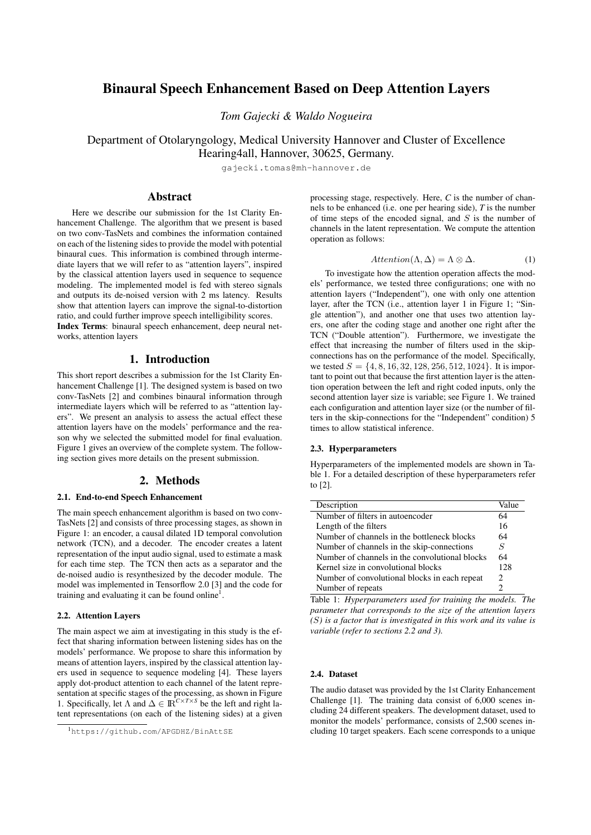# Binaural Speech Enhancement Based on Deep Attention Layers

*Tom Gajecki & Waldo Nogueira*

Department of Otolaryngology, Medical University Hannover and Cluster of Excellence Hearing4all, Hannover, 30625, Germany.

[gajecki.tomas@mh-hannover.de](mailto:gajecki.tomas@mh-hannover.de)

### Abstract

Here we describe our submission for the 1st Clarity Enhancement Challenge. The algorithm that we present is based on two conv-TasNets and combines the information contained on each of the listening sides to provide the model with potential binaural cues. This information is combined through intermediate layers that we will refer to as "attention layers", inspired by the classical attention layers used in sequence to sequence modeling. The implemented model is fed with stereo signals and outputs its de-noised version with 2 ms latency. Results show that attention layers can improve the signal-to-distortion ratio, and could further improve speech intelligibility scores. Index Terms: binaural speech enhancement, deep neural net-

works, attention layers

## 1. Introduction

This short report describes a submission for the 1st Clarity Enhancement Challenge [\[1\]](#page-2-0). The designed system is based on two conv-TasNets [\[2\]](#page-2-1) and combines binaural information through intermediate layers which will be referred to as "attention layers". We present an analysis to assess the actual effect these attention layers have on the models' performance and the reason why we selected the submitted model for final evaluation. Figure [1](#page-1-0) gives an overview of the complete system. The following section gives more details on the present submission.

### 2. Methods

#### 2.1. End-to-end Speech Enhancement

The main speech enhancement algorithm is based on two conv-TasNets [\[2\]](#page-2-1) and consists of three processing stages, as shown in Figure [1:](#page-1-0) an encoder, a causal dilated 1D temporal convolution network (TCN), and a decoder. The encoder creates a latent representation of the input audio signal, used to estimate a mask for each time step. The TCN then acts as a separator and the de-noised audio is resynthesized by the decoder module. The model was implemented in Tensorflow 2.0 [\[3\]](#page-2-2) and the code for training and evaluating it can be found online<sup>[1](#page-0-0)</sup>.

### <span id="page-0-2"></span>2.2. Attention Layers

The main aspect we aim at investigating in this study is the effect that sharing information between listening sides has on the models' performance. We propose to share this information by means of attention layers, inspired by the classical attention layers used in sequence to sequence modeling [\[4\]](#page-2-3). These layers apply dot-product attention to each channel of the latent representation at specific stages of the processing, as shown in Figure [1.](#page-1-0) Specifically, let  $\Lambda$  and  $\Delta \in \mathbb{R}^{C \times T \times S}$  be the left and right latent representations (on each of the listening sides) at a given processing stage, respectively. Here, *C* is the number of channels to be enhanced (i.e. one per hearing side), *T* is the number of time steps of the encoded signal, and  $S$  is the number of channels in the latent representation. We compute the attention operation as follows:

$$
Attention(\Lambda, \Delta) = \Lambda \otimes \Delta.
$$
 (1)

To investigate how the attention operation affects the models' performance, we tested three configurations; one with no attention layers ("Independent"), one with only one attention layer, after the TCN (i.e., attention layer 1 in Figure [1;](#page-1-0) "Single attention"), and another one that uses two attention layers, one after the coding stage and another one right after the TCN ("Double attention"). Furthermore, we investigate the effect that increasing the number of filters used in the skipconnections has on the performance of the model. Specifically, we tested  $S = \{4, 8, 16, 32, 128, 256, 512, 1024\}$ . It is important to point out that because the first attention layer is the attention operation between the left and right coded inputs, only the second attention layer size is variable; see Figure [1.](#page-1-0) We trained each configuration and attention layer size (or the number of filters in the skip-connections for the "Independent" condition) 5 times to allow statistical inference.

#### 2.3. Hyperparameters

Hyperparameters of the implemented models are shown in Table [1.](#page-0-1) For a detailed description of these hyperparameters refer to [\[2\]](#page-2-1).

<span id="page-0-1"></span>

| Description                                    | Value |
|------------------------------------------------|-------|
| Number of filters in autoencoder               | 64    |
| Length of the filters                          | 16    |
| Number of channels in the bottleneck blocks    | 64    |
| Number of channels in the skip-connections     | S     |
| Number of channels in the convolutional blocks | 64    |
| Kernel size in convolutional blocks            | 128   |
| Number of convolutional blocks in each repeat  | 2     |
| Number of repeats                              |       |

Table 1: *Hyperparameters used for training the models. The parameter that corresponds to the size of the attention layers (*S*) is a factor that is investigated in this work and its value is variable (refer to sections [2.2](#page-0-2) and [3\)](#page-1-1).*

#### 2.4. Dataset

The audio dataset was provided by the 1st Clarity Enhancement Challenge [\[1\]](#page-2-0). The training data consist of 6,000 scenes including 24 different speakers. The development dataset, used to monitor the models' performance, consists of 2,500 scenes including 10 target speakers. Each scene corresponds to a unique

<span id="page-0-0"></span><sup>1</sup><https://github.com/APGDHZ/BinAttSE>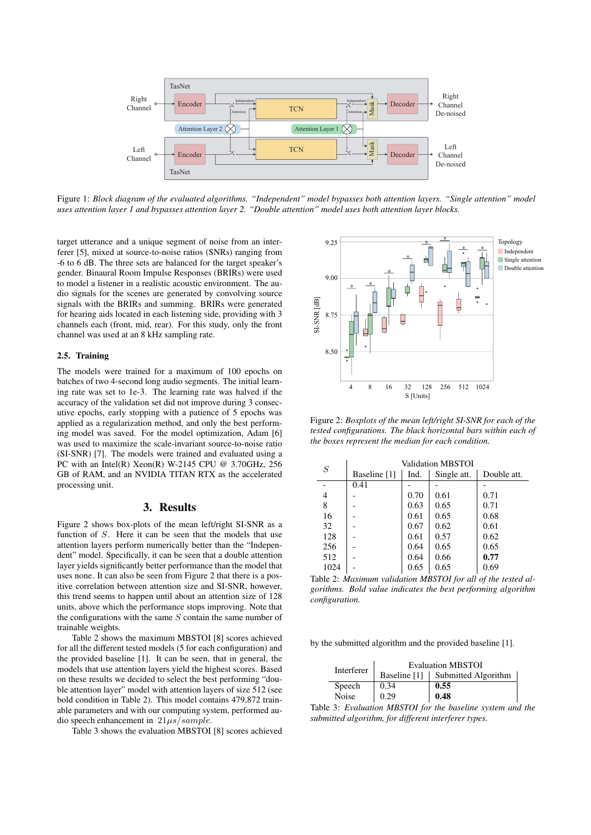<span id="page-1-0"></span>

Figure 1: *Block diagram of the evaluated algorithms. "Independent" model bypasses both attention layers. "Single attention" model uses attention layer 1 and bypasses attention layer 2. "Double attention" model uses both attention layer blocks.*

target utterance and a unique segment of noise from an interferer [\[5\]](#page-2-4), mixed at source-to-noise ratios (SNRs) ranging from -6 to 6 dB. The three sets are balanced for the target speaker's gender. Binaural Room Impulse Responses (BRIRs) were used to model a listener in a realistic acoustic environment. The audio signals for the scenes are generated by convolving source signals with the BRIRs and summing. BRIRs were generated for hearing aids located in each listening side, providing with 3 channels each (front, mid, rear). For this study, only the front channel was used at an 8 kHz sampling rate.

#### 2.5. Training

The models were trained for a maximum of 100 epochs on batches of two 4-second long audio segments. The initial learning rate was set to 1e-3. The learning rate was halved if the accuracy of the validation set did not improve during 3 consecutive epochs, early stopping with a patience of 5 epochs was applied as a regularization method, and only the best performing model was saved. For the model optimization, Adam [\[6\]](#page-2-5) was used to maximize the scale-invariant source-to-noise ratio (SI-SNR) [\[7\]](#page-2-6). The models were trained and evaluated using a PC with an Intel(R) Xeon(R) W-2145 CPU @ 3.70GHz, 256 GB of RAM, and an NVIDIA TITAN RTX as the accelerated processing unit.

#### 3. Results

<span id="page-1-1"></span>Figure [2](#page-1-2) shows box-plots of the mean left/right SI-SNR as a function of S. Here it can be seen that the models that use attention layers perform numerically better than the "Independent" model. Specifically, it can be seen that a double attention layer yields significantly better performance than the model that uses none. It can also be seen from Figure [2](#page-1-2) that there is a positive correlation between attention size and SI-SNR, however, this trend seems to happen until about an attention size of 128 units, above which the performance stops improving. Note that the configurations with the same  $S$  contain the same number of trainable weights.

Table [2](#page-1-3) shows the maximum MBSTOI [\[8\]](#page-2-7) scores achieved for all the different tested models (5 for each configuration) and the provided baseline [\[1\]](#page-2-0). It can be seen, that in general, the models that use attention layers yield the highest scores. Based on these results we decided to select the best performing "double attention layer" model with attention layers of size 512 (see bold condition in Table [2\)](#page-1-3). This model contains 479,872 trainable parameters and with our computing system, performed audio speech enhancement in  $21\mu s/sample$ .

Table [3](#page-1-4) shows the evaluation MBSTOI [\[8\]](#page-2-7) scores achieved

<span id="page-1-2"></span>

Figure 2: *Boxplots of the mean left/right SI-SNR for each of the tested configurations. The black horizontal bars within each of the boxes represent the median for each condition.*

<span id="page-1-3"></span>

| S    | Validation MBSTOI |      |             |             |  |
|------|-------------------|------|-------------|-------------|--|
|      | Baseline [1]      | Ind. | Single att. | Double att. |  |
|      | 0.41              |      |             |             |  |
| 4    |                   | 0.70 | 0.61        | 0.71        |  |
| 8    |                   | 0.63 | 0.65        | 0.71        |  |
| 16   |                   | 0.61 | 0.65        | 0.68        |  |
| 32   |                   | 0.67 | 0.62        | 0.61        |  |
| 128  |                   | 0.61 | 0.57        | 0.62        |  |
| 256  |                   | 0.64 | 0.65        | 0.65        |  |
| 512  |                   | 0.64 | 0.66        | 0.77        |  |
| 1024 |                   | 0.65 | 0.65        | 0.69        |  |

Table 2: *Maximum validation MBSTOI for all of the tested algorithms. Bold value indicates the best performing algorithm configuration.*

<span id="page-1-4"></span>by the submitted algorithm and the provided baseline [\[1\]](#page-2-0).

| Interferer | <b>Evaluation MBSTOI</b> |                                  |  |  |
|------------|--------------------------|----------------------------------|--|--|
|            |                          | Baseline [1] Submitted Algorithm |  |  |
| Speech     | 0.34                     | 0.55                             |  |  |
| Noise      | 0.29                     | 0.48                             |  |  |

Table 3: *Evaluation MBSTOI for the baseline system and the submitted algorithm, for different interferer types.*